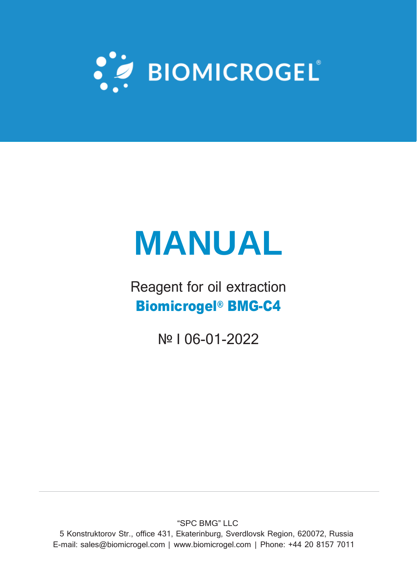

# **MANUAL**

Reagent for oil extraction Biomicrogel® BMG-C4

№ I 06-01-2022

"SPC BMG" LLC

5 Konstruktorov Str., office 431, Ekaterinburg, Sverdlovsk Region, 620072, Russia Е-mail: [sales@biomicrogel.com](mailto:sales@biomicrogel.com) | [www.biomicrogel.com](http://www.biomicrogel.com/) | Phone: +44 20 8157 7011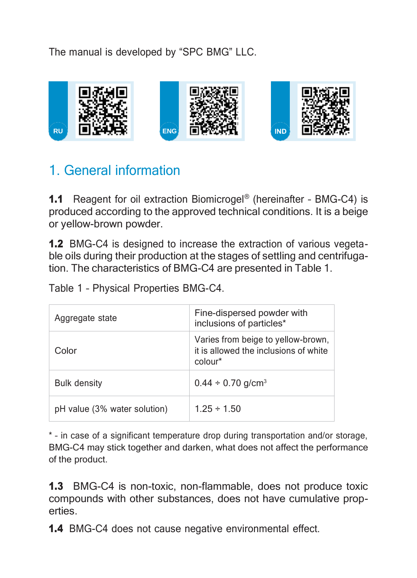The manual is developed by "SPC BMG" LLC.



# 1. General information

**1.1** Reagent for oil extraction Biomicrogel<sup>®</sup> (hereinafter - BMG-C4) is produced according to the approved technical conditions. It is a beige or yellow-brown powder.

1.2 BMG-C4 is designed to increase the extraction of various vegetable oils during their production at the stages of settling and centrifugation. The characteristics of BMG-C4 are presented in Table 1.

Table 1 – Physical Properties BMG-C4.

| Aggregate state              | Fine-dispersed powder with<br>inclusions of particles*                                 |
|------------------------------|----------------------------------------------------------------------------------------|
| Color                        | Varies from beige to yellow-brown,<br>it is allowed the inclusions of white<br>colour* |
| <b>Bulk density</b>          | $0.44 \div 0.70$ g/cm <sup>3</sup>                                                     |
| pH value (3% water solution) | $125 \div 150$                                                                         |

\* – in case of a significant temperature drop during transportation and/or storage, BMG-C4 may stick together and darken, what does not affect the performance of the product.

1.3 BMG-C4 is non-toxic, non-flammable, does not produce toxic compounds with other substances, does not have cumulative properties.

1.4 BMG-C4 does not cause negative environmental effect.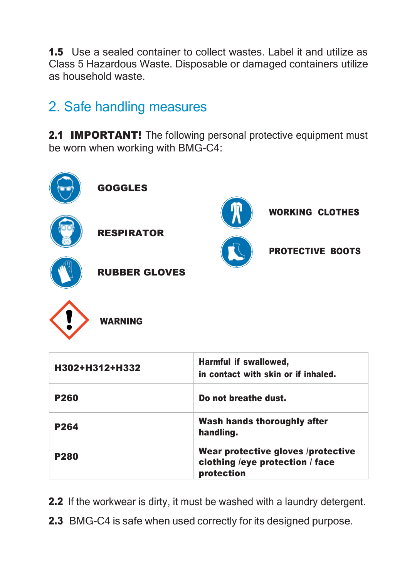1.5 Use a sealed container to collect wastes. Label it and utilize as Class 5 Hazardous Waste. Disposable or damaged containers utilize as household waste.

# 2. Safe handling measures

2.1 **IMPORTANT!** The following personal protective equipment must be worn when working with BMG-C4:



| H302+H312+H332 | Harmful if swallowed,<br>in contact with skin or if inhaled.                        |
|----------------|-------------------------------------------------------------------------------------|
| <b>P260</b>    | Do not breathe dust.                                                                |
| P264           | Wash hands thoroughly after<br>handling.                                            |
| P280           | Wear protective gloves /protective<br>clothing /eye protection / face<br>protection |

- 2.2 If the workwear is dirty, it must be washed with a laundry detergent.
- 2.3 BMG-C4 is safe when used correctly for its designed purpose.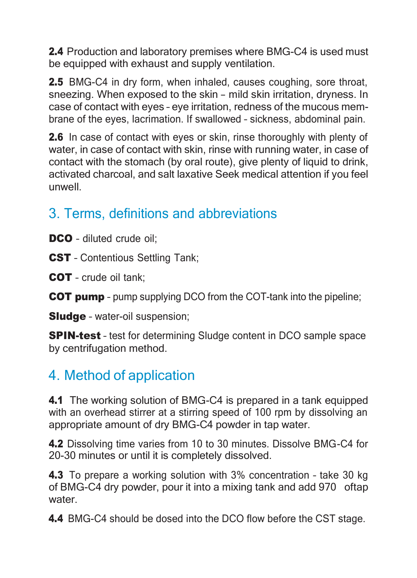2.4 Production and laboratory premises where BMG-C4 is used must be equipped with exhaust and supply ventilation.

2.5 BMG-C4 in dry form, when inhaled, causes coughing, sore throat, sneezing. When exposed to the skin – mild skin irritation, dryness. In case of contact with eyes – eye irritation, redness of the mucous membrane of the eyes, lacrimation. If swallowed – sickness, abdominal pain.

2.6 In case of contact with eyes or skin, rinse thoroughly with plenty of water, in case of contact with skin, rinse with running water, in case of contact with the stomach (by oral route), give plenty of liquid to drink, activated charcoal, and salt laxative Seek medical attention if you feel unwell.

# 3. Terms, definitions and abbreviations

DCO - diluted crude oil:

CST - Contentious Settling Tank:

COT – crude oil tank;

COT pump – pump supplying DCO from the COT-tank into the pipeline;

**Sludge** - water-oil suspension;

**SPIN-test** - test for determining Sludge content in DCO sample space by centrifugation method.

#### 4. Method of application

4.1 The working solution of BMG-C4 is prepared in a tank equipped with an overhead stirrer at a stirring speed of 100 rpm by dissolving an appropriate amount of dry BMG-C4 powder in tap water.

4.2 Dissolving time varies from 10 to 30 minutes. Dissolve BMG-C4 for 20-30 minutes or until it is completely dissolved.

4.3 To prepare a working solution with 3% concentration - take 30 kg of BMG-C4 dry powder, pour it into a mixing tank and add 970 oftap water

4.4 BMG-C4 should be dosed into the DCO flow before the CST stage.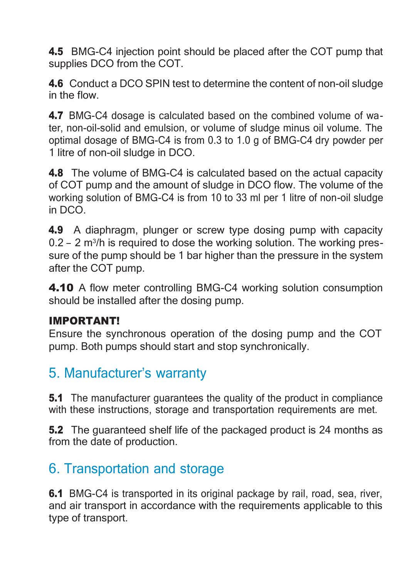4.5 BMG-C4 injection point should be placed after the COT pump that supplies DCO from the COT.

4.6 Conduct a DCO SPIN test to determine the content of non-oil sludge in the flow.

4.7 BMG-C4 dosage is calculated based on the combined volume of water, non-oil-solid and emulsion, or volume of sludge minus oil volume. The optimal dosage of BMG-C4 is from 0.3 to 1.0 g of BMG-C4 dry powder per 1 litre of non-oil sludge in DCO.

4.8 The volume of BMG-C4 is calculated based on the actual capacity of COT pump and the amount of sludge in DCO flow. The volume of the working solution of BMG-C4 is from 10 to 33 ml per 1 litre of non-oil sludge in DCO.

4.9 A diaphragm, plunger or screw type dosing pump with capacity 0.2 - 2 m<sup>3</sup>/h is required to dose the working solution. The working pressure of the pump should be 1 bar higher than the pressure in the system after the COT pump.

4.10 A flow meter controlling BMG-C4 working solution consumption should be installed after the dosing pump.

#### IMPORTANT!

Ensure the synchronous operation of the dosing pump and the COT pump. Both pumps should start and stop synchronically.

#### 5. Manufacturer's warranty

**5.1** The manufacturer quarantees the quality of the product in compliance with these instructions, storage and transportation requirements are met.

**5.2** The guaranteed shelf life of the packaged product is 24 months as from the date of production.

#### 6. Transportation and storage

**6.1** BMG-C4 is transported in its original package by rail, road, sea, river, and air transport in accordance with the requirements applicable to this type of transport.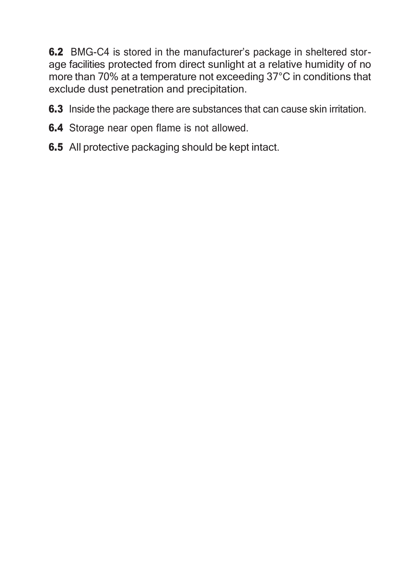6.2 BMG-C4 is stored in the manufacturer's package in sheltered storage facilities protected from direct sunlight at a relative humidity of no more than 70% at a temperature not exceeding 37°C in conditions that exclude dust penetration and precipitation.

- **6.3** Inside the package there are substances that can cause skin irritation.
- **6.4** Storage near open flame is not allowed.
- **6.5** All protective packaging should be kept intact.